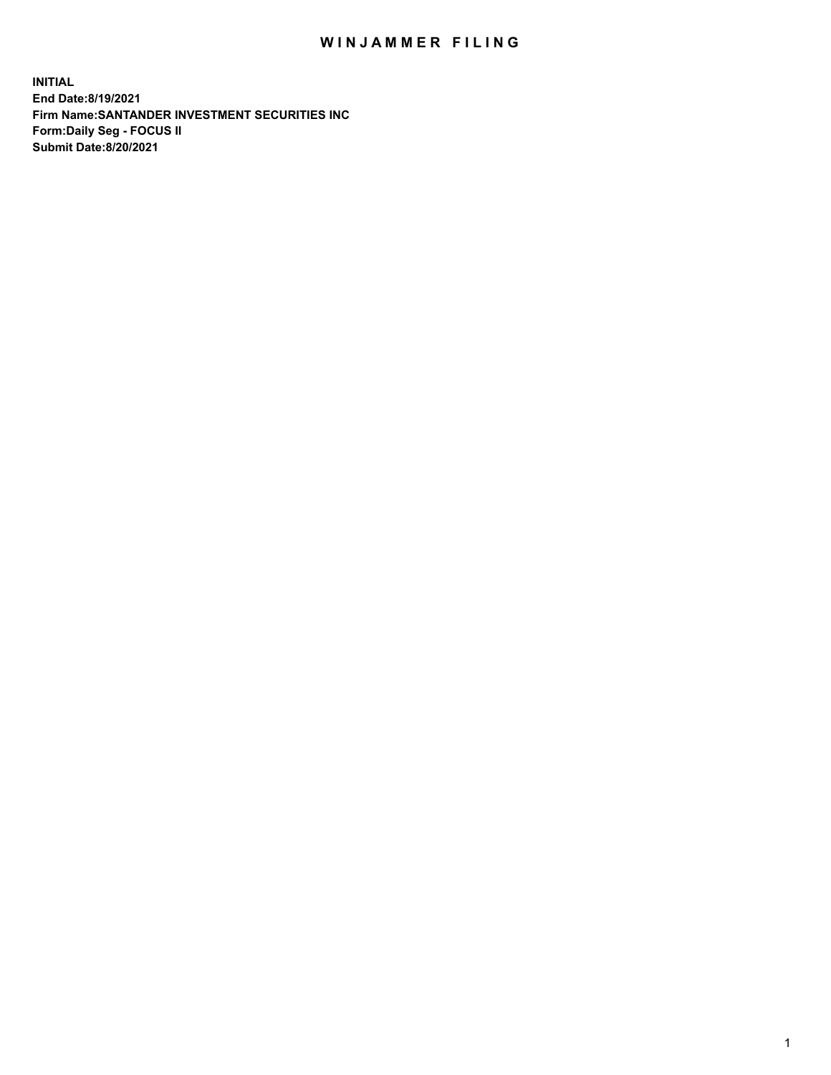## WIN JAMMER FILING

**INITIAL End Date:8/19/2021 Firm Name:SANTANDER INVESTMENT SECURITIES INC Form:Daily Seg - FOCUS II Submit Date:8/20/2021**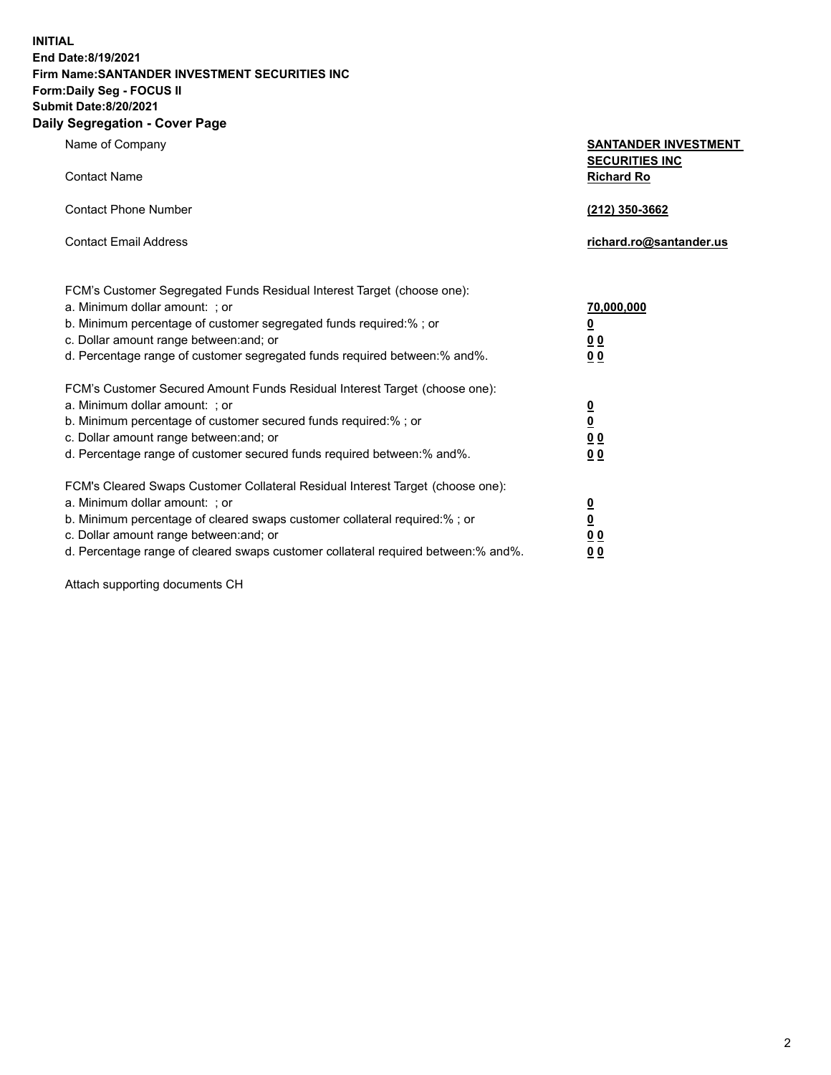**INITIAL End Date:8/19/2021 Firm Name:SANTANDER INVESTMENT SECURITIES INC Form:Daily Seg - FOCUS II Submit Date:8/20/2021 Daily Segregation - Cover Page**

| $-99.99$ and $-99.0$                                                                                                                                                                                                                                                                                                          |                                                                            |
|-------------------------------------------------------------------------------------------------------------------------------------------------------------------------------------------------------------------------------------------------------------------------------------------------------------------------------|----------------------------------------------------------------------------|
| Name of Company                                                                                                                                                                                                                                                                                                               | <b>SANTANDER INVESTMENT</b><br><b>SECURITIES INC</b>                       |
| <b>Contact Name</b>                                                                                                                                                                                                                                                                                                           | <b>Richard Ro</b>                                                          |
| <b>Contact Phone Number</b>                                                                                                                                                                                                                                                                                                   | (212) 350-3662                                                             |
| <b>Contact Email Address</b>                                                                                                                                                                                                                                                                                                  | richard.ro@santander.us                                                    |
| FCM's Customer Segregated Funds Residual Interest Target (choose one):<br>a. Minimum dollar amount: ; or<br>b. Minimum percentage of customer segregated funds required:%; or<br>c. Dollar amount range between: and; or<br>d. Percentage range of customer segregated funds required between:% and%.                         | 70,000,000<br>$\underline{\mathbf{0}}$<br>0 <sub>0</sub><br>0 <sub>0</sub> |
| FCM's Customer Secured Amount Funds Residual Interest Target (choose one):<br>a. Minimum dollar amount: ; or<br>b. Minimum percentage of customer secured funds required:%; or<br>c. Dollar amount range between: and; or<br>d. Percentage range of customer secured funds required between:% and%.                           | $\frac{\frac{0}{0}}{\frac{0}{0}}$<br>0 <sub>0</sub>                        |
| FCM's Cleared Swaps Customer Collateral Residual Interest Target (choose one):<br>a. Minimum dollar amount: ; or<br>b. Minimum percentage of cleared swaps customer collateral required:%; or<br>c. Dollar amount range between: and; or<br>d. Percentage range of cleared swaps customer collateral required between:% and%. | $\frac{0}{0}$<br>$\underline{0}$ $\underline{0}$<br>0 <sub>0</sub>         |

Attach supporting documents CH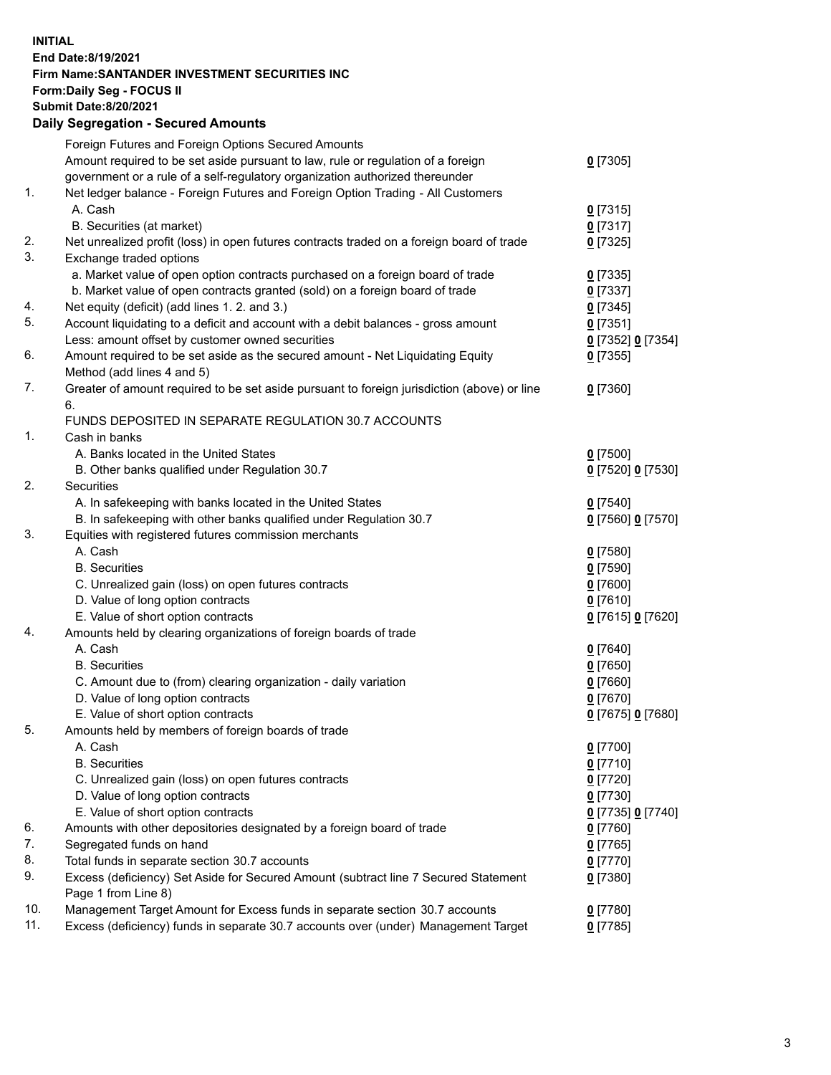**INITIAL End Date:8/19/2021 Firm Name:SANTANDER INVESTMENT SECURITIES INC Form:Daily Seg - FOCUS II Submit Date:8/20/2021 Daily Segregation - Secured Amounts**

| Amount required to be set aside pursuant to law, rule or regulation of a foreign<br>$0$ [7305]<br>government or a rule of a self-regulatory organization authorized thereunder<br>1.<br>Net ledger balance - Foreign Futures and Foreign Option Trading - All Customers<br>A. Cash<br>$0$ [7315]<br>B. Securities (at market)<br>$0$ [7317]<br>Net unrealized profit (loss) in open futures contracts traded on a foreign board of trade<br>$0$ [7325]<br>Exchange traded options<br>a. Market value of open option contracts purchased on a foreign board of trade<br>$0$ [7335]<br>b. Market value of open contracts granted (sold) on a foreign board of trade<br>$0$ [7337]<br>Net equity (deficit) (add lines 1. 2. and 3.)<br>$0$ [7345]<br>Account liquidating to a deficit and account with a debit balances - gross amount<br>$0$ [7351]<br>Less: amount offset by customer owned securities<br>0 [7352] 0 [7354]<br>Amount required to be set aside as the secured amount - Net Liquidating Equity<br>$0$ [7355]<br>Method (add lines 4 and 5)<br>Greater of amount required to be set aside pursuant to foreign jurisdiction (above) or line<br>$0$ [7360]<br>6.<br>FUNDS DEPOSITED IN SEPARATE REGULATION 30.7 ACCOUNTS<br>1.<br>Cash in banks<br>A. Banks located in the United States<br>$0$ [7500]<br>B. Other banks qualified under Regulation 30.7<br>0 [7520] 0 [7530]<br>Securities<br>A. In safekeeping with banks located in the United States<br>$0$ [7540]<br>B. In safekeeping with other banks qualified under Regulation 30.7<br>0 [7560] 0 [7570]<br>Equities with registered futures commission merchants<br>A. Cash<br>$0$ [7580]<br><b>B.</b> Securities<br>$0$ [7590]<br>C. Unrealized gain (loss) on open futures contracts<br>$0$ [7600]<br>D. Value of long option contracts<br>$0$ [7610]<br>E. Value of short option contracts<br>0 [7615] 0 [7620]<br>Amounts held by clearing organizations of foreign boards of trade<br>A. Cash<br>$0$ [7640]<br><b>B.</b> Securities<br>$0$ [7650]<br>C. Amount due to (from) clearing organization - daily variation<br>$0$ [7660]<br>D. Value of long option contracts<br>$0$ [7670]<br>E. Value of short option contracts<br>0 [7675] 0 [7680]<br>Amounts held by members of foreign boards of trade<br>$0$ [7700]<br>A. Cash<br>$0$ [7710]<br><b>B.</b> Securities<br>C. Unrealized gain (loss) on open futures contracts<br>$0$ [7720]<br>D. Value of long option contracts<br>$0$ [7730]<br>E. Value of short option contracts<br>0 [7735] 0 [7740]<br>Amounts with other depositories designated by a foreign board of trade<br>$0$ [7760]<br>Segregated funds on hand<br>$0$ [7765]<br>Total funds in separate section 30.7 accounts<br>$0$ [7770]<br>Excess (deficiency) Set Aside for Secured Amount (subtract line 7 Secured Statement<br>$0$ [7380]<br>Page 1 from Line 8)<br>10.<br>Management Target Amount for Excess funds in separate section 30.7 accounts<br>$0$ [7780]<br>11.<br>Excess (deficiency) funds in separate 30.7 accounts over (under) Management Target |    | Foreign Futures and Foreign Options Secured Amounts |            |
|------------------------------------------------------------------------------------------------------------------------------------------------------------------------------------------------------------------------------------------------------------------------------------------------------------------------------------------------------------------------------------------------------------------------------------------------------------------------------------------------------------------------------------------------------------------------------------------------------------------------------------------------------------------------------------------------------------------------------------------------------------------------------------------------------------------------------------------------------------------------------------------------------------------------------------------------------------------------------------------------------------------------------------------------------------------------------------------------------------------------------------------------------------------------------------------------------------------------------------------------------------------------------------------------------------------------------------------------------------------------------------------------------------------------------------------------------------------------------------------------------------------------------------------------------------------------------------------------------------------------------------------------------------------------------------------------------------------------------------------------------------------------------------------------------------------------------------------------------------------------------------------------------------------------------------------------------------------------------------------------------------------------------------------------------------------------------------------------------------------------------------------------------------------------------------------------------------------------------------------------------------------------------------------------------------------------------------------------------------------------------------------------------------------------------------------------------------------------------------------------------------------------------------------------------------------------------------------------------------------------------------------------------------------------------------------------------------------------------------------------------------------------------------------------------------------------------------------------------------------------------------------------------------------------------------------------------------------------------------------------------------------------------------------------------------------|----|-----------------------------------------------------|------------|
|                                                                                                                                                                                                                                                                                                                                                                                                                                                                                                                                                                                                                                                                                                                                                                                                                                                                                                                                                                                                                                                                                                                                                                                                                                                                                                                                                                                                                                                                                                                                                                                                                                                                                                                                                                                                                                                                                                                                                                                                                                                                                                                                                                                                                                                                                                                                                                                                                                                                                                                                                                                                                                                                                                                                                                                                                                                                                                                                                                                                                                                                  |    |                                                     |            |
|                                                                                                                                                                                                                                                                                                                                                                                                                                                                                                                                                                                                                                                                                                                                                                                                                                                                                                                                                                                                                                                                                                                                                                                                                                                                                                                                                                                                                                                                                                                                                                                                                                                                                                                                                                                                                                                                                                                                                                                                                                                                                                                                                                                                                                                                                                                                                                                                                                                                                                                                                                                                                                                                                                                                                                                                                                                                                                                                                                                                                                                                  |    |                                                     |            |
|                                                                                                                                                                                                                                                                                                                                                                                                                                                                                                                                                                                                                                                                                                                                                                                                                                                                                                                                                                                                                                                                                                                                                                                                                                                                                                                                                                                                                                                                                                                                                                                                                                                                                                                                                                                                                                                                                                                                                                                                                                                                                                                                                                                                                                                                                                                                                                                                                                                                                                                                                                                                                                                                                                                                                                                                                                                                                                                                                                                                                                                                  |    |                                                     |            |
|                                                                                                                                                                                                                                                                                                                                                                                                                                                                                                                                                                                                                                                                                                                                                                                                                                                                                                                                                                                                                                                                                                                                                                                                                                                                                                                                                                                                                                                                                                                                                                                                                                                                                                                                                                                                                                                                                                                                                                                                                                                                                                                                                                                                                                                                                                                                                                                                                                                                                                                                                                                                                                                                                                                                                                                                                                                                                                                                                                                                                                                                  |    |                                                     |            |
|                                                                                                                                                                                                                                                                                                                                                                                                                                                                                                                                                                                                                                                                                                                                                                                                                                                                                                                                                                                                                                                                                                                                                                                                                                                                                                                                                                                                                                                                                                                                                                                                                                                                                                                                                                                                                                                                                                                                                                                                                                                                                                                                                                                                                                                                                                                                                                                                                                                                                                                                                                                                                                                                                                                                                                                                                                                                                                                                                                                                                                                                  |    |                                                     |            |
|                                                                                                                                                                                                                                                                                                                                                                                                                                                                                                                                                                                                                                                                                                                                                                                                                                                                                                                                                                                                                                                                                                                                                                                                                                                                                                                                                                                                                                                                                                                                                                                                                                                                                                                                                                                                                                                                                                                                                                                                                                                                                                                                                                                                                                                                                                                                                                                                                                                                                                                                                                                                                                                                                                                                                                                                                                                                                                                                                                                                                                                                  | 2. |                                                     |            |
|                                                                                                                                                                                                                                                                                                                                                                                                                                                                                                                                                                                                                                                                                                                                                                                                                                                                                                                                                                                                                                                                                                                                                                                                                                                                                                                                                                                                                                                                                                                                                                                                                                                                                                                                                                                                                                                                                                                                                                                                                                                                                                                                                                                                                                                                                                                                                                                                                                                                                                                                                                                                                                                                                                                                                                                                                                                                                                                                                                                                                                                                  | 3. |                                                     |            |
|                                                                                                                                                                                                                                                                                                                                                                                                                                                                                                                                                                                                                                                                                                                                                                                                                                                                                                                                                                                                                                                                                                                                                                                                                                                                                                                                                                                                                                                                                                                                                                                                                                                                                                                                                                                                                                                                                                                                                                                                                                                                                                                                                                                                                                                                                                                                                                                                                                                                                                                                                                                                                                                                                                                                                                                                                                                                                                                                                                                                                                                                  |    |                                                     |            |
|                                                                                                                                                                                                                                                                                                                                                                                                                                                                                                                                                                                                                                                                                                                                                                                                                                                                                                                                                                                                                                                                                                                                                                                                                                                                                                                                                                                                                                                                                                                                                                                                                                                                                                                                                                                                                                                                                                                                                                                                                                                                                                                                                                                                                                                                                                                                                                                                                                                                                                                                                                                                                                                                                                                                                                                                                                                                                                                                                                                                                                                                  |    |                                                     |            |
|                                                                                                                                                                                                                                                                                                                                                                                                                                                                                                                                                                                                                                                                                                                                                                                                                                                                                                                                                                                                                                                                                                                                                                                                                                                                                                                                                                                                                                                                                                                                                                                                                                                                                                                                                                                                                                                                                                                                                                                                                                                                                                                                                                                                                                                                                                                                                                                                                                                                                                                                                                                                                                                                                                                                                                                                                                                                                                                                                                                                                                                                  | 4. |                                                     |            |
|                                                                                                                                                                                                                                                                                                                                                                                                                                                                                                                                                                                                                                                                                                                                                                                                                                                                                                                                                                                                                                                                                                                                                                                                                                                                                                                                                                                                                                                                                                                                                                                                                                                                                                                                                                                                                                                                                                                                                                                                                                                                                                                                                                                                                                                                                                                                                                                                                                                                                                                                                                                                                                                                                                                                                                                                                                                                                                                                                                                                                                                                  | 5. |                                                     |            |
|                                                                                                                                                                                                                                                                                                                                                                                                                                                                                                                                                                                                                                                                                                                                                                                                                                                                                                                                                                                                                                                                                                                                                                                                                                                                                                                                                                                                                                                                                                                                                                                                                                                                                                                                                                                                                                                                                                                                                                                                                                                                                                                                                                                                                                                                                                                                                                                                                                                                                                                                                                                                                                                                                                                                                                                                                                                                                                                                                                                                                                                                  |    |                                                     |            |
|                                                                                                                                                                                                                                                                                                                                                                                                                                                                                                                                                                                                                                                                                                                                                                                                                                                                                                                                                                                                                                                                                                                                                                                                                                                                                                                                                                                                                                                                                                                                                                                                                                                                                                                                                                                                                                                                                                                                                                                                                                                                                                                                                                                                                                                                                                                                                                                                                                                                                                                                                                                                                                                                                                                                                                                                                                                                                                                                                                                                                                                                  | 6. |                                                     |            |
|                                                                                                                                                                                                                                                                                                                                                                                                                                                                                                                                                                                                                                                                                                                                                                                                                                                                                                                                                                                                                                                                                                                                                                                                                                                                                                                                                                                                                                                                                                                                                                                                                                                                                                                                                                                                                                                                                                                                                                                                                                                                                                                                                                                                                                                                                                                                                                                                                                                                                                                                                                                                                                                                                                                                                                                                                                                                                                                                                                                                                                                                  |    |                                                     |            |
|                                                                                                                                                                                                                                                                                                                                                                                                                                                                                                                                                                                                                                                                                                                                                                                                                                                                                                                                                                                                                                                                                                                                                                                                                                                                                                                                                                                                                                                                                                                                                                                                                                                                                                                                                                                                                                                                                                                                                                                                                                                                                                                                                                                                                                                                                                                                                                                                                                                                                                                                                                                                                                                                                                                                                                                                                                                                                                                                                                                                                                                                  | 7. |                                                     |            |
|                                                                                                                                                                                                                                                                                                                                                                                                                                                                                                                                                                                                                                                                                                                                                                                                                                                                                                                                                                                                                                                                                                                                                                                                                                                                                                                                                                                                                                                                                                                                                                                                                                                                                                                                                                                                                                                                                                                                                                                                                                                                                                                                                                                                                                                                                                                                                                                                                                                                                                                                                                                                                                                                                                                                                                                                                                                                                                                                                                                                                                                                  |    |                                                     |            |
|                                                                                                                                                                                                                                                                                                                                                                                                                                                                                                                                                                                                                                                                                                                                                                                                                                                                                                                                                                                                                                                                                                                                                                                                                                                                                                                                                                                                                                                                                                                                                                                                                                                                                                                                                                                                                                                                                                                                                                                                                                                                                                                                                                                                                                                                                                                                                                                                                                                                                                                                                                                                                                                                                                                                                                                                                                                                                                                                                                                                                                                                  |    |                                                     |            |
|                                                                                                                                                                                                                                                                                                                                                                                                                                                                                                                                                                                                                                                                                                                                                                                                                                                                                                                                                                                                                                                                                                                                                                                                                                                                                                                                                                                                                                                                                                                                                                                                                                                                                                                                                                                                                                                                                                                                                                                                                                                                                                                                                                                                                                                                                                                                                                                                                                                                                                                                                                                                                                                                                                                                                                                                                                                                                                                                                                                                                                                                  |    |                                                     |            |
|                                                                                                                                                                                                                                                                                                                                                                                                                                                                                                                                                                                                                                                                                                                                                                                                                                                                                                                                                                                                                                                                                                                                                                                                                                                                                                                                                                                                                                                                                                                                                                                                                                                                                                                                                                                                                                                                                                                                                                                                                                                                                                                                                                                                                                                                                                                                                                                                                                                                                                                                                                                                                                                                                                                                                                                                                                                                                                                                                                                                                                                                  |    |                                                     |            |
|                                                                                                                                                                                                                                                                                                                                                                                                                                                                                                                                                                                                                                                                                                                                                                                                                                                                                                                                                                                                                                                                                                                                                                                                                                                                                                                                                                                                                                                                                                                                                                                                                                                                                                                                                                                                                                                                                                                                                                                                                                                                                                                                                                                                                                                                                                                                                                                                                                                                                                                                                                                                                                                                                                                                                                                                                                                                                                                                                                                                                                                                  |    |                                                     |            |
|                                                                                                                                                                                                                                                                                                                                                                                                                                                                                                                                                                                                                                                                                                                                                                                                                                                                                                                                                                                                                                                                                                                                                                                                                                                                                                                                                                                                                                                                                                                                                                                                                                                                                                                                                                                                                                                                                                                                                                                                                                                                                                                                                                                                                                                                                                                                                                                                                                                                                                                                                                                                                                                                                                                                                                                                                                                                                                                                                                                                                                                                  | 2. |                                                     |            |
|                                                                                                                                                                                                                                                                                                                                                                                                                                                                                                                                                                                                                                                                                                                                                                                                                                                                                                                                                                                                                                                                                                                                                                                                                                                                                                                                                                                                                                                                                                                                                                                                                                                                                                                                                                                                                                                                                                                                                                                                                                                                                                                                                                                                                                                                                                                                                                                                                                                                                                                                                                                                                                                                                                                                                                                                                                                                                                                                                                                                                                                                  |    |                                                     |            |
|                                                                                                                                                                                                                                                                                                                                                                                                                                                                                                                                                                                                                                                                                                                                                                                                                                                                                                                                                                                                                                                                                                                                                                                                                                                                                                                                                                                                                                                                                                                                                                                                                                                                                                                                                                                                                                                                                                                                                                                                                                                                                                                                                                                                                                                                                                                                                                                                                                                                                                                                                                                                                                                                                                                                                                                                                                                                                                                                                                                                                                                                  |    |                                                     |            |
|                                                                                                                                                                                                                                                                                                                                                                                                                                                                                                                                                                                                                                                                                                                                                                                                                                                                                                                                                                                                                                                                                                                                                                                                                                                                                                                                                                                                                                                                                                                                                                                                                                                                                                                                                                                                                                                                                                                                                                                                                                                                                                                                                                                                                                                                                                                                                                                                                                                                                                                                                                                                                                                                                                                                                                                                                                                                                                                                                                                                                                                                  | 3. |                                                     |            |
|                                                                                                                                                                                                                                                                                                                                                                                                                                                                                                                                                                                                                                                                                                                                                                                                                                                                                                                                                                                                                                                                                                                                                                                                                                                                                                                                                                                                                                                                                                                                                                                                                                                                                                                                                                                                                                                                                                                                                                                                                                                                                                                                                                                                                                                                                                                                                                                                                                                                                                                                                                                                                                                                                                                                                                                                                                                                                                                                                                                                                                                                  |    |                                                     |            |
|                                                                                                                                                                                                                                                                                                                                                                                                                                                                                                                                                                                                                                                                                                                                                                                                                                                                                                                                                                                                                                                                                                                                                                                                                                                                                                                                                                                                                                                                                                                                                                                                                                                                                                                                                                                                                                                                                                                                                                                                                                                                                                                                                                                                                                                                                                                                                                                                                                                                                                                                                                                                                                                                                                                                                                                                                                                                                                                                                                                                                                                                  |    |                                                     |            |
|                                                                                                                                                                                                                                                                                                                                                                                                                                                                                                                                                                                                                                                                                                                                                                                                                                                                                                                                                                                                                                                                                                                                                                                                                                                                                                                                                                                                                                                                                                                                                                                                                                                                                                                                                                                                                                                                                                                                                                                                                                                                                                                                                                                                                                                                                                                                                                                                                                                                                                                                                                                                                                                                                                                                                                                                                                                                                                                                                                                                                                                                  |    |                                                     |            |
|                                                                                                                                                                                                                                                                                                                                                                                                                                                                                                                                                                                                                                                                                                                                                                                                                                                                                                                                                                                                                                                                                                                                                                                                                                                                                                                                                                                                                                                                                                                                                                                                                                                                                                                                                                                                                                                                                                                                                                                                                                                                                                                                                                                                                                                                                                                                                                                                                                                                                                                                                                                                                                                                                                                                                                                                                                                                                                                                                                                                                                                                  |    |                                                     |            |
|                                                                                                                                                                                                                                                                                                                                                                                                                                                                                                                                                                                                                                                                                                                                                                                                                                                                                                                                                                                                                                                                                                                                                                                                                                                                                                                                                                                                                                                                                                                                                                                                                                                                                                                                                                                                                                                                                                                                                                                                                                                                                                                                                                                                                                                                                                                                                                                                                                                                                                                                                                                                                                                                                                                                                                                                                                                                                                                                                                                                                                                                  |    |                                                     |            |
|                                                                                                                                                                                                                                                                                                                                                                                                                                                                                                                                                                                                                                                                                                                                                                                                                                                                                                                                                                                                                                                                                                                                                                                                                                                                                                                                                                                                                                                                                                                                                                                                                                                                                                                                                                                                                                                                                                                                                                                                                                                                                                                                                                                                                                                                                                                                                                                                                                                                                                                                                                                                                                                                                                                                                                                                                                                                                                                                                                                                                                                                  | 4. |                                                     |            |
|                                                                                                                                                                                                                                                                                                                                                                                                                                                                                                                                                                                                                                                                                                                                                                                                                                                                                                                                                                                                                                                                                                                                                                                                                                                                                                                                                                                                                                                                                                                                                                                                                                                                                                                                                                                                                                                                                                                                                                                                                                                                                                                                                                                                                                                                                                                                                                                                                                                                                                                                                                                                                                                                                                                                                                                                                                                                                                                                                                                                                                                                  |    |                                                     |            |
|                                                                                                                                                                                                                                                                                                                                                                                                                                                                                                                                                                                                                                                                                                                                                                                                                                                                                                                                                                                                                                                                                                                                                                                                                                                                                                                                                                                                                                                                                                                                                                                                                                                                                                                                                                                                                                                                                                                                                                                                                                                                                                                                                                                                                                                                                                                                                                                                                                                                                                                                                                                                                                                                                                                                                                                                                                                                                                                                                                                                                                                                  |    |                                                     |            |
|                                                                                                                                                                                                                                                                                                                                                                                                                                                                                                                                                                                                                                                                                                                                                                                                                                                                                                                                                                                                                                                                                                                                                                                                                                                                                                                                                                                                                                                                                                                                                                                                                                                                                                                                                                                                                                                                                                                                                                                                                                                                                                                                                                                                                                                                                                                                                                                                                                                                                                                                                                                                                                                                                                                                                                                                                                                                                                                                                                                                                                                                  |    |                                                     |            |
|                                                                                                                                                                                                                                                                                                                                                                                                                                                                                                                                                                                                                                                                                                                                                                                                                                                                                                                                                                                                                                                                                                                                                                                                                                                                                                                                                                                                                                                                                                                                                                                                                                                                                                                                                                                                                                                                                                                                                                                                                                                                                                                                                                                                                                                                                                                                                                                                                                                                                                                                                                                                                                                                                                                                                                                                                                                                                                                                                                                                                                                                  |    |                                                     |            |
|                                                                                                                                                                                                                                                                                                                                                                                                                                                                                                                                                                                                                                                                                                                                                                                                                                                                                                                                                                                                                                                                                                                                                                                                                                                                                                                                                                                                                                                                                                                                                                                                                                                                                                                                                                                                                                                                                                                                                                                                                                                                                                                                                                                                                                                                                                                                                                                                                                                                                                                                                                                                                                                                                                                                                                                                                                                                                                                                                                                                                                                                  |    |                                                     |            |
|                                                                                                                                                                                                                                                                                                                                                                                                                                                                                                                                                                                                                                                                                                                                                                                                                                                                                                                                                                                                                                                                                                                                                                                                                                                                                                                                                                                                                                                                                                                                                                                                                                                                                                                                                                                                                                                                                                                                                                                                                                                                                                                                                                                                                                                                                                                                                                                                                                                                                                                                                                                                                                                                                                                                                                                                                                                                                                                                                                                                                                                                  | 5. |                                                     |            |
|                                                                                                                                                                                                                                                                                                                                                                                                                                                                                                                                                                                                                                                                                                                                                                                                                                                                                                                                                                                                                                                                                                                                                                                                                                                                                                                                                                                                                                                                                                                                                                                                                                                                                                                                                                                                                                                                                                                                                                                                                                                                                                                                                                                                                                                                                                                                                                                                                                                                                                                                                                                                                                                                                                                                                                                                                                                                                                                                                                                                                                                                  |    |                                                     |            |
|                                                                                                                                                                                                                                                                                                                                                                                                                                                                                                                                                                                                                                                                                                                                                                                                                                                                                                                                                                                                                                                                                                                                                                                                                                                                                                                                                                                                                                                                                                                                                                                                                                                                                                                                                                                                                                                                                                                                                                                                                                                                                                                                                                                                                                                                                                                                                                                                                                                                                                                                                                                                                                                                                                                                                                                                                                                                                                                                                                                                                                                                  |    |                                                     |            |
|                                                                                                                                                                                                                                                                                                                                                                                                                                                                                                                                                                                                                                                                                                                                                                                                                                                                                                                                                                                                                                                                                                                                                                                                                                                                                                                                                                                                                                                                                                                                                                                                                                                                                                                                                                                                                                                                                                                                                                                                                                                                                                                                                                                                                                                                                                                                                                                                                                                                                                                                                                                                                                                                                                                                                                                                                                                                                                                                                                                                                                                                  |    |                                                     |            |
|                                                                                                                                                                                                                                                                                                                                                                                                                                                                                                                                                                                                                                                                                                                                                                                                                                                                                                                                                                                                                                                                                                                                                                                                                                                                                                                                                                                                                                                                                                                                                                                                                                                                                                                                                                                                                                                                                                                                                                                                                                                                                                                                                                                                                                                                                                                                                                                                                                                                                                                                                                                                                                                                                                                                                                                                                                                                                                                                                                                                                                                                  |    |                                                     |            |
|                                                                                                                                                                                                                                                                                                                                                                                                                                                                                                                                                                                                                                                                                                                                                                                                                                                                                                                                                                                                                                                                                                                                                                                                                                                                                                                                                                                                                                                                                                                                                                                                                                                                                                                                                                                                                                                                                                                                                                                                                                                                                                                                                                                                                                                                                                                                                                                                                                                                                                                                                                                                                                                                                                                                                                                                                                                                                                                                                                                                                                                                  |    |                                                     |            |
|                                                                                                                                                                                                                                                                                                                                                                                                                                                                                                                                                                                                                                                                                                                                                                                                                                                                                                                                                                                                                                                                                                                                                                                                                                                                                                                                                                                                                                                                                                                                                                                                                                                                                                                                                                                                                                                                                                                                                                                                                                                                                                                                                                                                                                                                                                                                                                                                                                                                                                                                                                                                                                                                                                                                                                                                                                                                                                                                                                                                                                                                  | 6. |                                                     |            |
|                                                                                                                                                                                                                                                                                                                                                                                                                                                                                                                                                                                                                                                                                                                                                                                                                                                                                                                                                                                                                                                                                                                                                                                                                                                                                                                                                                                                                                                                                                                                                                                                                                                                                                                                                                                                                                                                                                                                                                                                                                                                                                                                                                                                                                                                                                                                                                                                                                                                                                                                                                                                                                                                                                                                                                                                                                                                                                                                                                                                                                                                  | 7. |                                                     |            |
|                                                                                                                                                                                                                                                                                                                                                                                                                                                                                                                                                                                                                                                                                                                                                                                                                                                                                                                                                                                                                                                                                                                                                                                                                                                                                                                                                                                                                                                                                                                                                                                                                                                                                                                                                                                                                                                                                                                                                                                                                                                                                                                                                                                                                                                                                                                                                                                                                                                                                                                                                                                                                                                                                                                                                                                                                                                                                                                                                                                                                                                                  | 8. |                                                     |            |
|                                                                                                                                                                                                                                                                                                                                                                                                                                                                                                                                                                                                                                                                                                                                                                                                                                                                                                                                                                                                                                                                                                                                                                                                                                                                                                                                                                                                                                                                                                                                                                                                                                                                                                                                                                                                                                                                                                                                                                                                                                                                                                                                                                                                                                                                                                                                                                                                                                                                                                                                                                                                                                                                                                                                                                                                                                                                                                                                                                                                                                                                  | 9. |                                                     |            |
|                                                                                                                                                                                                                                                                                                                                                                                                                                                                                                                                                                                                                                                                                                                                                                                                                                                                                                                                                                                                                                                                                                                                                                                                                                                                                                                                                                                                                                                                                                                                                                                                                                                                                                                                                                                                                                                                                                                                                                                                                                                                                                                                                                                                                                                                                                                                                                                                                                                                                                                                                                                                                                                                                                                                                                                                                                                                                                                                                                                                                                                                  |    |                                                     |            |
|                                                                                                                                                                                                                                                                                                                                                                                                                                                                                                                                                                                                                                                                                                                                                                                                                                                                                                                                                                                                                                                                                                                                                                                                                                                                                                                                                                                                                                                                                                                                                                                                                                                                                                                                                                                                                                                                                                                                                                                                                                                                                                                                                                                                                                                                                                                                                                                                                                                                                                                                                                                                                                                                                                                                                                                                                                                                                                                                                                                                                                                                  |    |                                                     |            |
|                                                                                                                                                                                                                                                                                                                                                                                                                                                                                                                                                                                                                                                                                                                                                                                                                                                                                                                                                                                                                                                                                                                                                                                                                                                                                                                                                                                                                                                                                                                                                                                                                                                                                                                                                                                                                                                                                                                                                                                                                                                                                                                                                                                                                                                                                                                                                                                                                                                                                                                                                                                                                                                                                                                                                                                                                                                                                                                                                                                                                                                                  |    |                                                     | $0$ [7785] |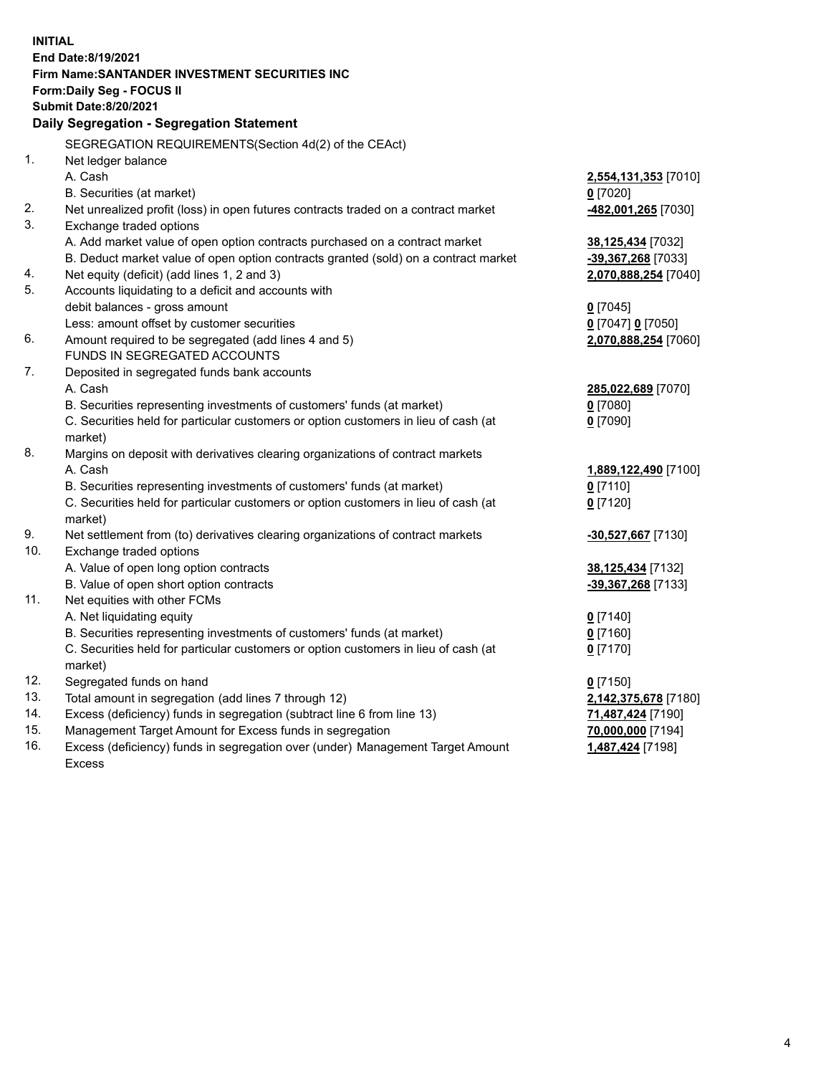|            | <b>INITIAL</b>                                                                                                                      |                      |
|------------|-------------------------------------------------------------------------------------------------------------------------------------|----------------------|
|            | End Date:8/19/2021                                                                                                                  |                      |
|            | Firm Name: SANTANDER INVESTMENT SECURITIES INC                                                                                      |                      |
|            | Form: Daily Seg - FOCUS II                                                                                                          |                      |
|            | <b>Submit Date:8/20/2021</b>                                                                                                        |                      |
|            | Daily Segregation - Segregation Statement                                                                                           |                      |
|            | SEGREGATION REQUIREMENTS(Section 4d(2) of the CEAct)                                                                                |                      |
| 1.         | Net ledger balance                                                                                                                  |                      |
|            | A. Cash                                                                                                                             | 2,554,131,353 [7010] |
|            | B. Securities (at market)                                                                                                           | $0$ [7020]           |
| 2.         | Net unrealized profit (loss) in open futures contracts traded on a contract market                                                  | -482,001,265 [7030]  |
| 3.         | Exchange traded options                                                                                                             |                      |
|            | A. Add market value of open option contracts purchased on a contract market                                                         | 38,125,434 [7032]    |
|            | B. Deduct market value of open option contracts granted (sold) on a contract market                                                 | -39,367,268 [7033]   |
| 4.         | Net equity (deficit) (add lines 1, 2 and 3)                                                                                         | 2,070,888,254 [7040] |
| 5.         | Accounts liquidating to a deficit and accounts with                                                                                 |                      |
|            | debit balances - gross amount                                                                                                       | $0$ [7045]           |
|            | Less: amount offset by customer securities                                                                                          | 0 [7047] 0 [7050]    |
| 6.         | Amount required to be segregated (add lines 4 and 5)                                                                                | 2,070,888,254 [7060] |
|            | FUNDS IN SEGREGATED ACCOUNTS                                                                                                        |                      |
| 7.         | Deposited in segregated funds bank accounts                                                                                         |                      |
|            | A. Cash                                                                                                                             | 285,022,689 [7070]   |
|            | B. Securities representing investments of customers' funds (at market)                                                              | $0$ [7080]           |
|            | C. Securities held for particular customers or option customers in lieu of cash (at                                                 | $0$ [7090]           |
|            | market)                                                                                                                             |                      |
| 8.         | Margins on deposit with derivatives clearing organizations of contract markets                                                      |                      |
|            | A. Cash                                                                                                                             | 1,889,122,490 [7100] |
|            | B. Securities representing investments of customers' funds (at market)                                                              | $0$ [7110]           |
|            | C. Securities held for particular customers or option customers in lieu of cash (at                                                 | $0$ [7120]           |
|            | market)                                                                                                                             |                      |
| 9.         | Net settlement from (to) derivatives clearing organizations of contract markets                                                     | -30,527,667 [7130]   |
| 10.        | Exchange traded options                                                                                                             |                      |
|            | A. Value of open long option contracts                                                                                              | 38,125,434 [7132]    |
|            | B. Value of open short option contracts                                                                                             | -39,367,268 [7133]   |
| 11.        | Net equities with other FCMs                                                                                                        |                      |
|            | A. Net liquidating equity                                                                                                           | $0$ [7140]           |
|            | B. Securities representing investments of customers' funds (at market)                                                              | $0$ [7160]           |
|            | C. Securities held for particular customers or option customers in lieu of cash (at                                                 | $0$ [7170]           |
|            | market)                                                                                                                             |                      |
| 12.        | Segregated funds on hand                                                                                                            | $0$ [7150]           |
| 13.<br>14. | Total amount in segregation (add lines 7 through 12)                                                                                | 2,142,375,678 [7180] |
| 15.        | Excess (deficiency) funds in segregation (subtract line 6 from line 13)<br>Management Target Amount for Excess funds in segregation | 71,487,424 [7190]    |
| 16.        |                                                                                                                                     | 70,000,000 [7194]    |
|            | Excess (deficiency) funds in segregation over (under) Management Target Amount<br>Excess                                            | 1,487,424 [7198]     |
|            |                                                                                                                                     |                      |